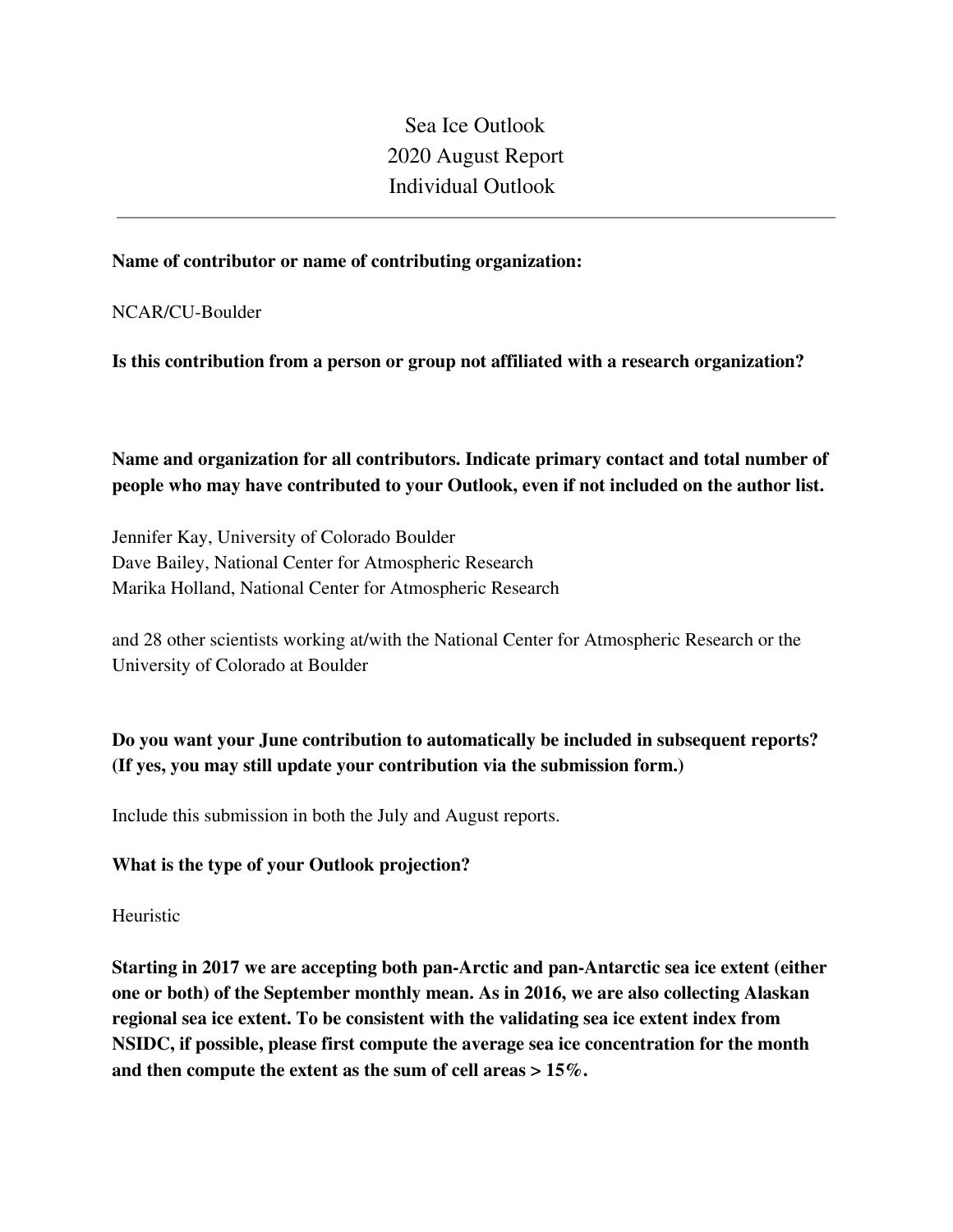Sea Ice Outlook 2020 August Report Individual Outlook

### **Name of contributor or name of contributing organization:**

NCAR/CU-Boulder

**Is this contribution from a person or group not affiliated with a research organization?** 

**Name and organization for all contributors. Indicate primary contact and total number of people who may have contributed to your Outlook, even if not included on the author list.**

Jennifer Kay, University of Colorado Boulder Dave Bailey, National Center for Atmospheric Research Marika Holland, National Center for Atmospheric Research

and 28 other scientists working at/with the National Center for Atmospheric Research or the University of Colorado at Boulder

# **Do you want your June contribution to automatically be included in subsequent reports? (If yes, you may still update your contribution via the submission form.)**

Include this submission in both the July and August reports.

#### **What is the type of your Outlook projection?**

Heuristic

**Starting in 2017 we are accepting both pan-Arctic and pan-Antarctic sea ice extent (either one or both) of the September monthly mean. As in 2016, we are also collecting Alaskan regional sea ice extent. To be consistent with the validating sea ice extent index from NSIDC, if possible, please first compute the average sea ice concentration for the month and then compute the extent as the sum of cell areas > 15%.**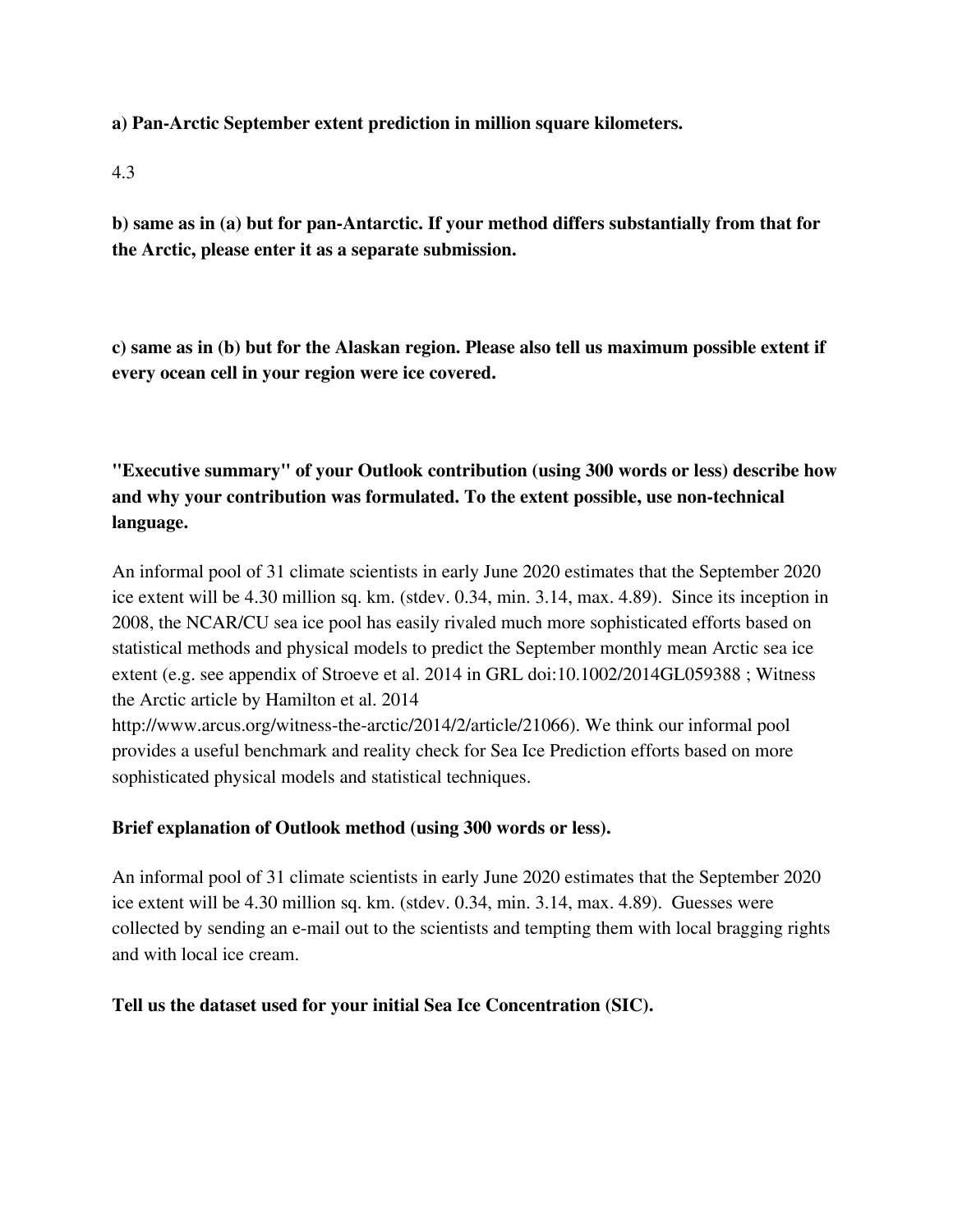**a) Pan-Arctic September extent prediction in million square kilometers.**

4.3

**b) same as in (a) but for pan-Antarctic. If your method differs substantially from that for the Arctic, please enter it as a separate submission.**

**c) same as in (b) but for the Alaskan region. Please also tell us maximum possible extent if every ocean cell in your region were ice covered.**

**"Executive summary" of your Outlook contribution (using 300 words or less) describe how and why your contribution was formulated. To the extent possible, use non-technical language.**

An informal pool of 31 climate scientists in early June 2020 estimates that the September 2020 ice extent will be 4.30 million sq. km. (stdev. 0.34, min. 3.14, max. 4.89). Since its inception in 2008, the NCAR/CU sea ice pool has easily rivaled much more sophisticated efforts based on statistical methods and physical models to predict the September monthly mean Arctic sea ice extent (e.g. see appendix of Stroeve et al. 2014 in GRL doi:10.1002/2014GL059388 ; Witness the Arctic article by Hamilton et al. 2014

http://www.arcus.org/witness-the-arctic/2014/2/article/21066). We think our informal pool provides a useful benchmark and reality check for Sea Ice Prediction efforts based on more sophisticated physical models and statistical techniques.

## **Brief explanation of Outlook method (using 300 words or less).**

An informal pool of 31 climate scientists in early June 2020 estimates that the September 2020 ice extent will be 4.30 million sq. km. (stdev. 0.34, min. 3.14, max. 4.89). Guesses were collected by sending an e-mail out to the scientists and tempting them with local bragging rights and with local ice cream.

**Tell us the dataset used for your initial Sea Ice Concentration (SIC).**